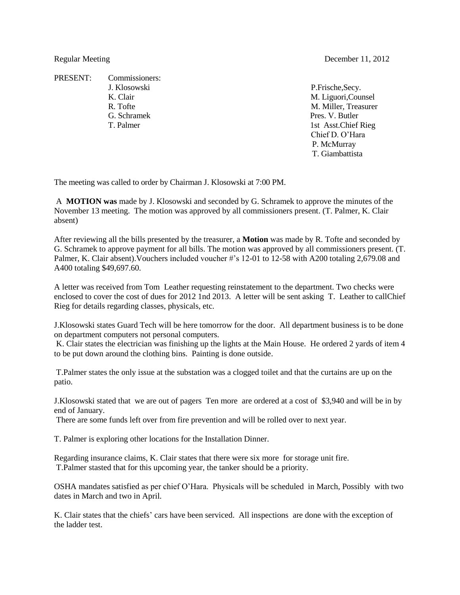PRESENT: Commissioners: J. Klosowski P.Frische,Secy. G. Schramek Pres. V. Butler

K. Clair M. Liguori, Counsel R. Tofte M. Miller, Treasurer T. Palmer 1st Asst.Chief Rieg Chief D. O'Hara P. McMurray T. Giambattista

The meeting was called to order by Chairman J. Klosowski at 7:00 PM.

A **MOTION was** made by J. Klosowski and seconded by G. Schramek to approve the minutes of the November 13 meeting. The motion was approved by all commissioners present. (T. Palmer, K. Clair absent)

After reviewing all the bills presented by the treasurer, a **Motion** was made by R. Tofte and seconded by G. Schramek to approve payment for all bills. The motion was approved by all commissioners present. (T. Palmer, K. Clair absent).Vouchers included voucher #'s 12-01 to 12-58 with A200 totaling 2,679.08 and A400 totaling \$49,697.60.

A letter was received from Tom Leather requesting reinstatement to the department. Two checks were enclosed to cover the cost of dues for 2012 1nd 2013. A letter will be sent asking T. Leather to callChief Rieg for details regarding classes, physicals, etc.

J.Klosowski states Guard Tech will be here tomorrow for the door. All department business is to be done on department computers not personal computers.

K. Clair states the electrician was finishing up the lights at the Main House. He ordered 2 yards of item 4 to be put down around the clothing bins. Painting is done outside.

T.Palmer states the only issue at the substation was a clogged toilet and that the curtains are up on the patio.

J.Klosowski stated that we are out of pagers Ten more are ordered at a cost of \$3,940 and will be in by end of January.

There are some funds left over from fire prevention and will be rolled over to next year.

T. Palmer is exploring other locations for the Installation Dinner.

Regarding insurance claims, K. Clair states that there were six more for storage unit fire. T.Palmer stasted that for this upcoming year, the tanker should be a priority.

OSHA mandates satisfied as per chief O'Hara. Physicals will be scheduled in March, Possibly with two dates in March and two in April.

K. Clair states that the chiefs' cars have been serviced. All inspections are done with the exception of the ladder test.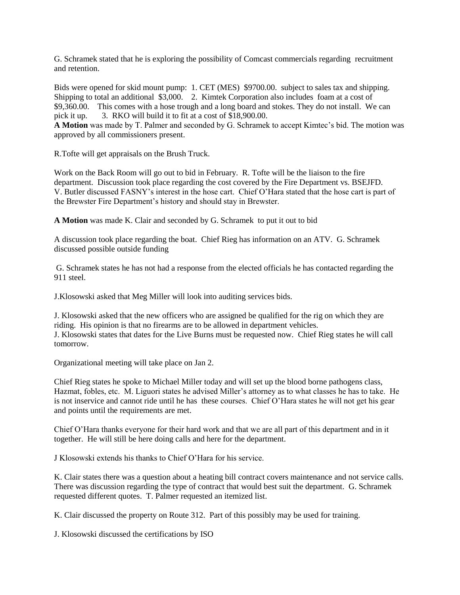G. Schramek stated that he is exploring the possibility of Comcast commercials regarding recruitment and retention.

Bids were opened for skid mount pump: 1. CET (MES) \$9700.00. subject to sales tax and shipping. Shipping to total an additional \$3,000. 2. Kimtek Corporation also includes foam at a cost of \$9,360.00. This comes with a hose trough and a long board and stokes. They do not install. We can pick it up. 3. RKO will build it to fit at a cost of \$18,900.00.

**A Motion** was made by T. Palmer and seconded by G. Schramek to accept Kimtec's bid. The motion was approved by all commissioners present.

R.Tofte will get appraisals on the Brush Truck.

Work on the Back Room will go out to bid in February. R. Tofte will be the liaison to the fire department. Discussion took place regarding the cost covered by the Fire Department vs. BSEJFD. V. Butler discussed FASNY's interest in the hose cart. Chief O'Hara stated that the hose cart is part of the Brewster Fire Department's history and should stay in Brewster.

**A Motion** was made K. Clair and seconded by G. Schramek to put it out to bid

A discussion took place regarding the boat. Chief Rieg has information on an ATV. G. Schramek discussed possible outside funding

G. Schramek states he has not had a response from the elected officials he has contacted regarding the 911 steel.

J.Klosowski asked that Meg Miller will look into auditing services bids.

J. Klosowski asked that the new officers who are assigned be qualified for the rig on which they are riding. His opinion is that no firearms are to be allowed in department vehicles. J. Klosowski states that dates for the Live Burns must be requested now. Chief Rieg states he will call tomorrow.

Organizational meeting will take place on Jan 2.

Chief Rieg states he spoke to Michael Miller today and will set up the blood borne pathogens class, Hazmat, fobles, etc. M. Liguori states he advised Miller's attorney as to what classes he has to take. He is not inservice and cannot ride until he has these courses. Chief O'Hara states he will not get his gear and points until the requirements are met.

Chief O'Hara thanks everyone for their hard work and that we are all part of this department and in it together. He will still be here doing calls and here for the department.

J Klosowski extends his thanks to Chief O'Hara for his service.

K. Clair states there was a question about a heating bill contract covers maintenance and not service calls. There was discussion regarding the type of contract that would best suit the department. G. Schramek requested different quotes. T. Palmer requested an itemized list.

K. Clair discussed the property on Route 312. Part of this possibly may be used for training.

J. Klosowski discussed the certifications by ISO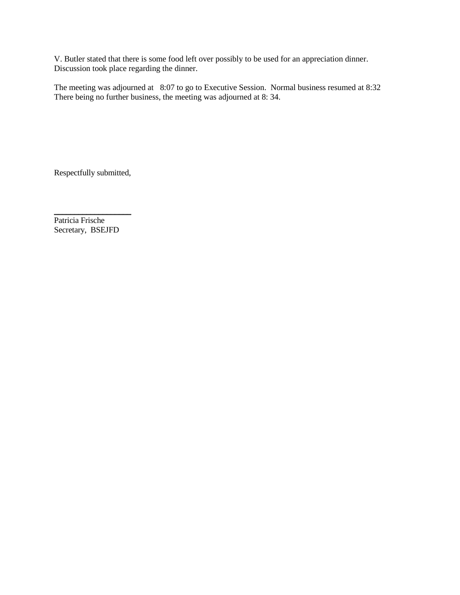V. Butler stated that there is some food left over possibly to be used for an appreciation dinner. Discussion took place regarding the dinner.

The meeting was adjourned at 8:07 to go to Executive Session. Normal business resumed at 8:32 There being no further business, the meeting was adjourned at 8:34.

Respectfully submitted,

\_\_\_\_\_\_\_\_\_\_\_\_\_\_\_\_\_\_\_

Patricia Frische Secretary, BSEJFD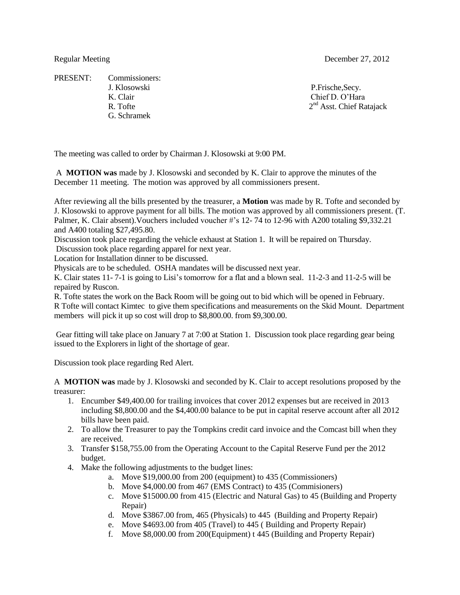PRESENT: Commissioners: J. Klosowski P.Frische,Secy. K. Clair Chief D. O'Hara R. Tofte G. Schramek

Regular Meeting December 27, 2012

 $2<sup>nd</sup>$  Asst. Chief Ratajack

The meeting was called to order by Chairman J. Klosowski at 9:00 PM.

A **MOTION was** made by J. Klosowski and seconded by K. Clair to approve the minutes of the December 11 meeting. The motion was approved by all commissioners present.

After reviewing all the bills presented by the treasurer, a **Motion** was made by R. Tofte and seconded by J. Klosowski to approve payment for all bills. The motion was approved by all commissioners present. (T. Palmer, K. Clair absent).Vouchers included voucher #'s 12- 74 to 12-96 with A200 totaling \$9,332.21 and A400 totaling \$27,495.80.

Discussion took place regarding the vehicle exhaust at Station 1. It will be repaired on Thursday.

Discussion took place regarding apparel for next year.

Location for Installation dinner to be discussed.

Physicals are to be scheduled. OSHA mandates will be discussed next year.

K. Clair states 11- 7-1 is going to Lisi's tomorrow for a flat and a blown seal. 11-2-3 and 11-2-5 will be repaired by Ruscon.

R. Tofte states the work on the Back Room will be going out to bid which will be opened in February. R Tofte will contact Kimtec to give them specifications and measurements on the Skid Mount. Department members will pick it up so cost will drop to \$8,800.00. from \$9,300.00.

Gear fitting will take place on January 7 at 7:00 at Station 1. Discussion took place regarding gear being issued to the Explorers in light of the shortage of gear.

Discussion took place regarding Red Alert.

A **MOTION was** made by J. Klosowski and seconded by K. Clair to accept resolutions proposed by the treasurer:

- 1. Encumber \$49,400.00 for trailing invoices that cover 2012 expenses but are received in 2013 including \$8,800.00 and the \$4,400.00 balance to be put in capital reserve account after all 2012 bills have been paid.
- 2. To allow the Treasurer to pay the Tompkins credit card invoice and the Comcast bill when they are received.
- 3. Transfer \$158,755.00 from the Operating Account to the Capital Reserve Fund per the 2012 budget.
- 4. Make the following adjustments to the budget lines:
	- a. Move \$19,000.00 from 200 (equipment) to 435 (Commissioners)
	- b. Move \$4,000.00 from 467 (EMS Contract) to 435 (Commisioners)
	- c. Move \$15000.00 from 415 (Electric and Natural Gas) to 45 (Building and Property Repair)
	- d. Move \$3867.00 from, 465 (Physicals) to 445 (Building and Property Repair)
	- e. Move \$4693.00 from 405 (Travel) to 445 ( Building and Property Repair)
	- f. Move \$8,000.00 from 200(Equipment) t 445 (Building and Property Repair)